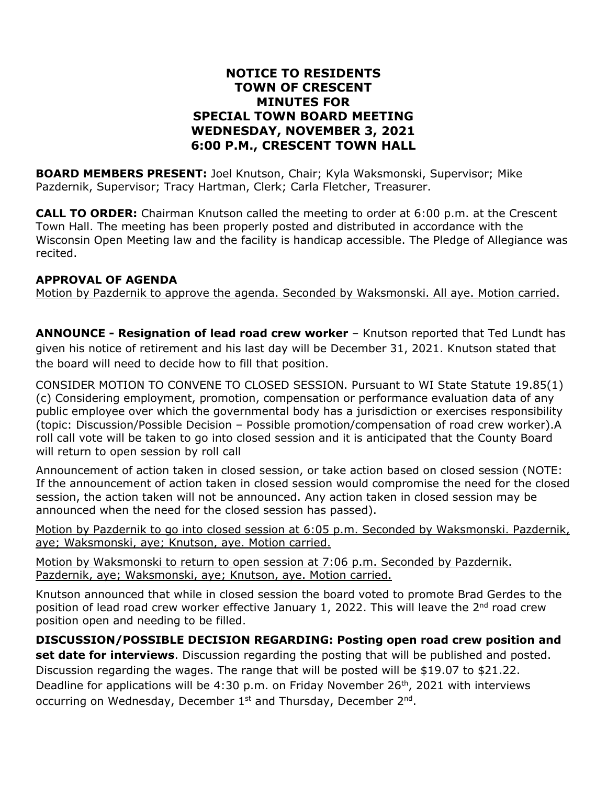## **NOTICE TO RESIDENTS TOWN OF CRESCENT MINUTES FOR SPECIAL TOWN BOARD MEETING WEDNESDAY, NOVEMBER 3, 2021 6:00 P.M., CRESCENT TOWN HALL**

**BOARD MEMBERS PRESENT:** Joel Knutson, Chair; Kyla Waksmonski, Supervisor; Mike Pazdernik, Supervisor; Tracy Hartman, Clerk; Carla Fletcher, Treasurer.

**CALL TO ORDER:** Chairman Knutson called the meeting to order at 6:00 p.m. at the Crescent Town Hall. The meeting has been properly posted and distributed in accordance with the Wisconsin Open Meeting law and the facility is handicap accessible. The Pledge of Allegiance was recited.

## **APPROVAL OF AGENDA**

Motion by Pazdernik to approve the agenda. Seconded by Waksmonski. All aye. Motion carried.

**ANNOUNCE - Resignation of lead road crew worker** – Knutson reported that Ted Lundt has given his notice of retirement and his last day will be December 31, 2021. Knutson stated that the board will need to decide how to fill that position.

CONSIDER MOTION TO CONVENE TO CLOSED SESSION. Pursuant to WI State Statute 19.85(1) (c) Considering employment, promotion, compensation or performance evaluation data of any public employee over which the governmental body has a jurisdiction or exercises responsibility (topic: Discussion/Possible Decision – Possible promotion/compensation of road crew worker).A roll call vote will be taken to go into closed session and it is anticipated that the County Board will return to open session by roll call

Announcement of action taken in closed session, or take action based on closed session (NOTE: If the announcement of action taken in closed session would compromise the need for the closed session, the action taken will not be announced. Any action taken in closed session may be announced when the need for the closed session has passed).

Motion by Pazdernik to go into closed session at 6:05 p.m. Seconded by Waksmonski. Pazdernik, aye; Waksmonski, aye; Knutson, aye. Motion carried.

Motion by Waksmonski to return to open session at 7:06 p.m. Seconded by Pazdernik. Pazdernik, aye; Waksmonski, aye; Knutson, aye. Motion carried.

Knutson announced that while in closed session the board voted to promote Brad Gerdes to the position of lead road crew worker effective January 1, 2022. This will leave the 2<sup>nd</sup> road crew position open and needing to be filled.

**DISCUSSION/POSSIBLE DECISION REGARDING: Posting open road crew position and set date for interviews**. Discussion regarding the posting that will be published and posted. Discussion regarding the wages. The range that will be posted will be \$19.07 to \$21.22. Deadline for applications will be 4:30 p.m. on Friday November 26<sup>th</sup>, 2021 with interviews occurring on Wednesday, December 1<sup>st</sup> and Thursday, December 2<sup>nd</sup>.